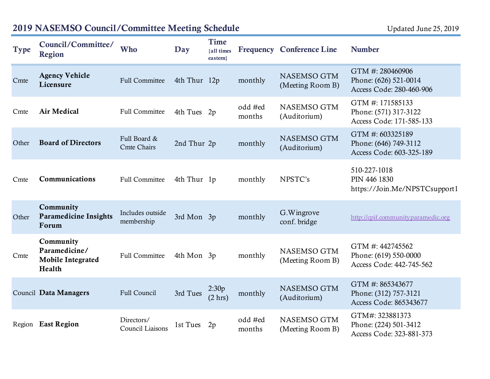| Type  | Council/Committee/<br><b>Region</b>                              | <b>Who</b>                         | Day          | <b>Time</b><br>{all times<br>eastern} |                   | <b>Frequency Conference Line</b> | <b>Number</b>                                                         |
|-------|------------------------------------------------------------------|------------------------------------|--------------|---------------------------------------|-------------------|----------------------------------|-----------------------------------------------------------------------|
| Cmte  | <b>Agency Vehicle</b><br>Licensure                               | <b>Full Committee</b>              | 4th Thur 12p |                                       | monthly           | NASEMSO GTM<br>(Meeting Room B)  | GTM #: 280460906<br>Phone: (626) 521-0014<br>Access Code: 280-460-906 |
| Cmte  | <b>Air Medical</b>                                               | <b>Full Committee</b>              | 4th Tues 2p  |                                       | odd #ed<br>months | NASEMSO GTM<br>(Auditorium)      | GTM #: 171585133<br>Phone: (571) 317-3122<br>Access Code: 171-585-133 |
| Other | <b>Board of Directors</b>                                        | Full Board &<br><b>Cmte Chairs</b> | 2nd Thur 2p  |                                       | monthly           | NASEMSO GTM<br>(Auditorium)      | GTM #: 603325189<br>Phone: (646) 749-3112<br>Access Code: 603-325-189 |
| Cmte  | Communications                                                   | <b>Full Committee</b>              | 4th Thur 1p  |                                       | monthly           | NPSTC's                          | 510-227-1018<br>PIN 446 1830<br>https://Join.Me/NPSTCsupport1         |
| Other | Community<br><b>Paramedicine Insights</b><br>Forum               | Includes outside<br>membership     | 3rd Mon 3p   |                                       | monthly           | G. Wingrove<br>conf. bridge      | http://cpif.communityparamedic.org                                    |
| Cmte  | Community<br>Paramedicine/<br><b>Mobile Integrated</b><br>Health | <b>Full Committee</b>              | 4th Mon 3p   |                                       | monthly           | NASEMSO GTM<br>(Meeting Room B)  | GTM #: 442745562<br>Phone: (619) 550-0000<br>Access Code: 442-745-562 |
|       | Council Data Managers                                            | Full Council                       | 3rd Tues     | 2:30p<br>(2 hr)                       | monthly           | NASEMSO GTM<br>(Auditorium)      | GTM #: 865343677<br>Phone: (312) 757-3121<br>Access Code: 865343677   |
|       | Region East Region                                               | Directors/<br>Council Liaisons     | 1st Tues     | 2p                                    | odd #ed<br>months | NASEMSO GTM<br>(Meeting Room B)  | GTM#: 323881373<br>Phone: (224) 501-3412<br>Access Code: 323-881-373  |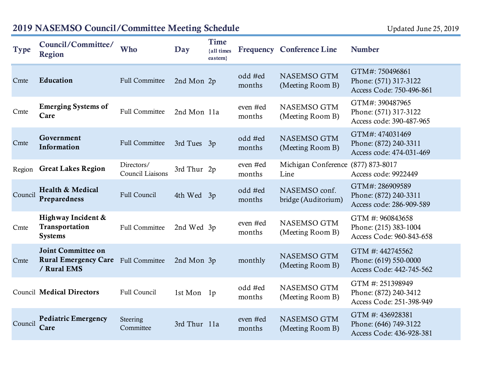| <b>Type</b> | Council/Committee/<br><b>Region</b>                                     | Who                            | Day          | <b>Time</b><br>{all times<br>eastern} |                    | <b>Frequency Conference Line</b>     | <b>Number</b>                                                         |
|-------------|-------------------------------------------------------------------------|--------------------------------|--------------|---------------------------------------|--------------------|--------------------------------------|-----------------------------------------------------------------------|
| Cmte        | Education                                                               | <b>Full Committee</b>          | 2nd Mon 2p   |                                       | odd #ed<br>months  | NASEMSO GTM<br>(Meeting Room B)      | GTM#: 750496861<br>Phone: (571) 317-3122<br>Access Code: 750-496-861  |
| Cmte        | <b>Emerging Systems of</b><br>Care                                      | <b>Full Committee</b>          | 2nd Mon 11a  |                                       | even #ed<br>months | NASEMSO GTM<br>(Meeting Room B)      | GTM#: 390487965<br>Phone: (571) 317-3122<br>Access code: 390-487-965  |
| Cmte        | Government<br>Information                                               | <b>Full Committee</b>          | 3rd Tues     | 3p                                    | odd #ed<br>months  | NASEMSO GTM<br>(Meeting Room B)      | GTM#: 474031469<br>Phone: (872) 240-3311<br>Access code: 474-031-469  |
|             | Region Great Lakes Region                                               | Directors/<br>Council Liaisons | 3rd Thur 2p  |                                       | even #ed<br>months | Michigan Conference<br>Line          | $(877)$ 873-8017<br>Access code: 9922449                              |
| Council     | Health & Medical<br>Preparedness                                        | Full Council                   | 4th Wed 3p   |                                       | odd #ed<br>months  | NASEMSO conf.<br>bridge (Auditorium) | GTM#: 286909589<br>Phone: (872) 240-3311<br>Access code: 286-909-589  |
| Cmte        | Highway Incident &<br>Transportation<br><b>Systems</b>                  | <b>Full Committee</b>          | 2nd Wed 3p   |                                       | even #ed<br>months | NASEMSO GTM<br>(Meeting Room B)      | GTM #: 960843658<br>Phone: (215) 383-1004<br>Access Code: 960-843-658 |
| Cmte        | <b>Joint Committee on</b><br><b>Rural Emergency Care</b><br>/ Rural EMS | <b>Full Committee</b>          | 2nd Mon 3p   |                                       | monthly            | NASEMSO GTM<br>(Meeting Room B)      | GTM #: 442745562<br>Phone: (619) 550-0000<br>Access Code: 442-745-562 |
|             | <b>Council Medical Directors</b>                                        | Full Council                   | 1st Mon 1p   |                                       | odd #ed<br>months  | NASEMSO GTM<br>(Meeting Room B)      | GTM #: 251398949<br>Phone: (872) 240-3412<br>Access Code: 251-398-949 |
| Council     | <b>Pediatric Emergency</b><br>Care                                      | Steering<br>Committee          | 3rd Thur 11a |                                       | even #ed<br>months | NASEMSO GTM<br>(Meeting Room B)      | GTM #: 436928381<br>Phone: (646) 749-3122<br>Access Code: 436-928-381 |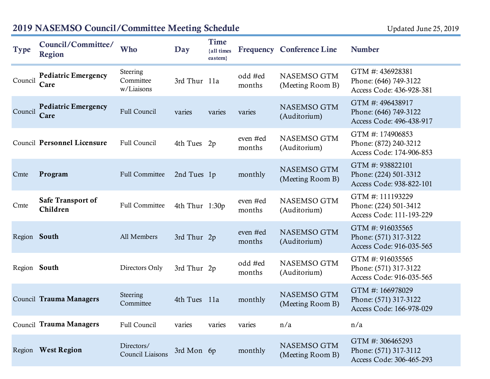| <b>Type</b>  | Council/Committee/<br><b>Region</b>  | Who                                 | Day            | <b>Time</b><br>{all times<br>eastern} |                    | <b>Frequency Conference Line</b> | <b>Number</b>                                                         |
|--------------|--------------------------------------|-------------------------------------|----------------|---------------------------------------|--------------------|----------------------------------|-----------------------------------------------------------------------|
| Council      | <b>Pediatric Emergency</b><br>Care   | Steering<br>Committee<br>w/Liaisons | 3rd Thur 11a   |                                       | odd #ed<br>months  | NASEMSO GTM<br>(Meeting Room B)  | GTM #: 436928381<br>Phone: (646) 749-3122<br>Access Code: 436-928-381 |
| Council      | <b>Pediatric Emergency</b><br>Care   | Full Council                        | varies         | varies                                | varies             | NASEMSO GTM<br>(Auditorium)      | GTM #: 496438917<br>Phone: (646) 749-3122<br>Access Code: 496-438-917 |
|              | Council Personnel Licensure          | Full Council                        | 4th Tues 2p    |                                       | even #ed<br>months | NASEMSO GTM<br>(Auditorium)      | GTM #: 174906853<br>Phone: (872) 240-3212<br>Access Code: 174-906-853 |
| Cmte         | Program                              | <b>Full Committee</b>               | 2nd Tues 1p    |                                       | monthly            | NASEMSO GTM<br>(Meeting Room B)  | GTM #: 938822101<br>Phone: (224) 501-3312<br>Access Code: 938-822-101 |
| Cmte         | <b>Safe Transport of</b><br>Children | <b>Full Committee</b>               | 4th Thur 1:30p |                                       | even #ed<br>months | NASEMSO GTM<br>(Auditorium)      | GTM #: 111193229<br>Phone: (224) 501-3412<br>Access Code: 111-193-229 |
| Region South |                                      | All Members                         | 3rd Thur 2p    |                                       | even #ed<br>months | NASEMSO GTM<br>(Auditorium)      | GTM #: 916035565<br>Phone: (571) 317-3122<br>Access Code: 916-035-565 |
| Region South |                                      | Directors Only                      | 3rd Thur 2p    |                                       | odd #ed<br>months  | NASEMSO GTM<br>(Auditorium)      | GTM #: 916035565<br>Phone: (571) 317-3122<br>Access Code: 916-035-565 |
|              | Council Trauma Managers              | Steering<br>Committee               | 4th Tues       | 11a                                   | monthly            | NASEMSO GTM<br>(Meeting Room B)  | GTM #: 166978029<br>Phone: (571) 317-3122<br>Access Code: 166-978-029 |
|              | Council Trauma Managers              | Full Council                        | varies         | varies                                | varies             | n/a                              | n/a                                                                   |
|              | Region West Region                   | Directors/<br>Council Liaisons      | 3rd Mon 6p     |                                       | monthly            | NASEMSO GTM<br>(Meeting Room B)  | GTM #: 306465293<br>Phone: (571) 317-3112<br>Access Code: 306-465-293 |